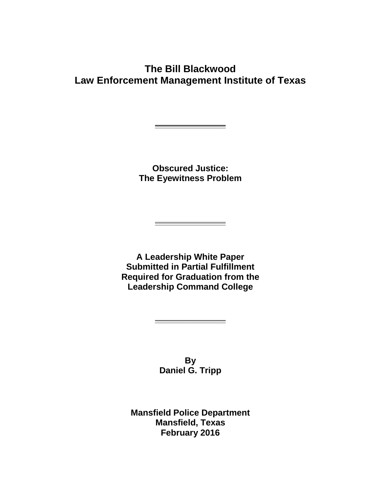# **The Bill Blackwood Law Enforcement Management Institute of Texas**

**Obscured Justice: The Eyewitness Problem**

**\_\_\_\_\_\_\_\_\_\_\_\_\_\_\_\_\_**

**A Leadership White Paper Submitted in Partial Fulfillment Required for Graduation from the Leadership Command College**

**\_\_\_\_\_\_\_\_\_\_\_\_\_\_\_\_\_**

**By Daniel G. Tripp**

**\_\_\_\_\_\_\_\_\_\_\_\_\_\_\_\_\_**

**Mansfield Police Department Mansfield, Texas February 2016**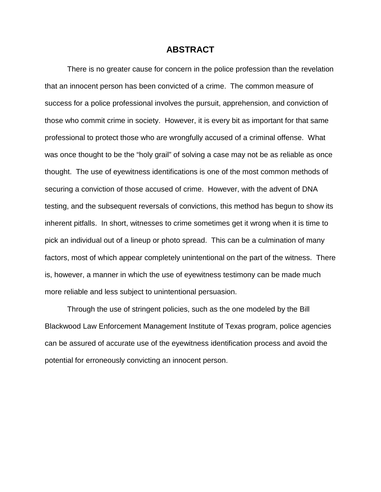#### **ABSTRACT**

There is no greater cause for concern in the police profession than the revelation that an innocent person has been convicted of a crime. The common measure of success for a police professional involves the pursuit, apprehension, and conviction of those who commit crime in society. However, it is every bit as important for that same professional to protect those who are wrongfully accused of a criminal offense. What was once thought to be the "holy grail" of solving a case may not be as reliable as once thought. The use of eyewitness identifications is one of the most common methods of securing a conviction of those accused of crime. However, with the advent of DNA testing, and the subsequent reversals of convictions, this method has begun to show its inherent pitfalls. In short, witnesses to crime sometimes get it wrong when it is time to pick an individual out of a lineup or photo spread. This can be a culmination of many factors, most of which appear completely unintentional on the part of the witness. There is, however, a manner in which the use of eyewitness testimony can be made much more reliable and less subject to unintentional persuasion.

Through the use of stringent policies, such as the one modeled by the Bill Blackwood Law Enforcement Management Institute of Texas program, police agencies can be assured of accurate use of the eyewitness identification process and avoid the potential for erroneously convicting an innocent person.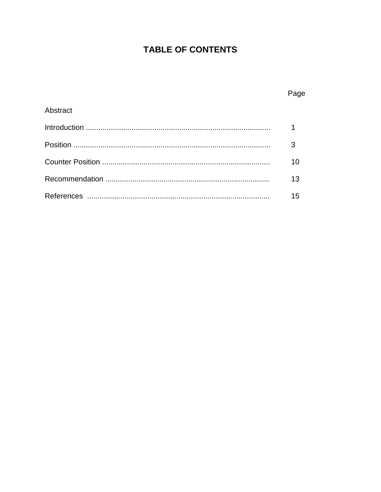# **TABLE OF CONTENTS**

Page

| Abstract |    |
|----------|----|
|          |    |
|          |    |
|          |    |
|          | 13 |
|          |    |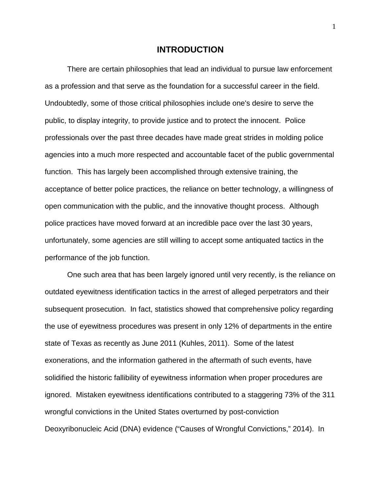#### **INTRODUCTION**

There are certain philosophies that lead an individual to pursue law enforcement as a profession and that serve as the foundation for a successful career in the field. Undoubtedly, some of those critical philosophies include one's desire to serve the public, to display integrity, to provide justice and to protect the innocent. Police professionals over the past three decades have made great strides in molding police agencies into a much more respected and accountable facet of the public governmental function. This has largely been accomplished through extensive training, the acceptance of better police practices, the reliance on better technology, a willingness of open communication with the public, and the innovative thought process. Although police practices have moved forward at an incredible pace over the last 30 years, unfortunately, some agencies are still willing to accept some antiquated tactics in the performance of the job function.

One such area that has been largely ignored until very recently, is the reliance on outdated eyewitness identification tactics in the arrest of alleged perpetrators and their subsequent prosecution. In fact, statistics showed that comprehensive policy regarding the use of eyewitness procedures was present in only 12% of departments in the entire state of Texas as recently as June 2011 (Kuhles, 2011). Some of the latest exonerations, and the information gathered in the aftermath of such events, have solidified the historic fallibility of eyewitness information when proper procedures are ignored. Mistaken eyewitness identifications contributed to a staggering 73% of the 311 wrongful convictions in the United States overturned by post-conviction Deoxyribonucleic Acid (DNA) evidence ("Causes of Wrongful Convictions," 2014). In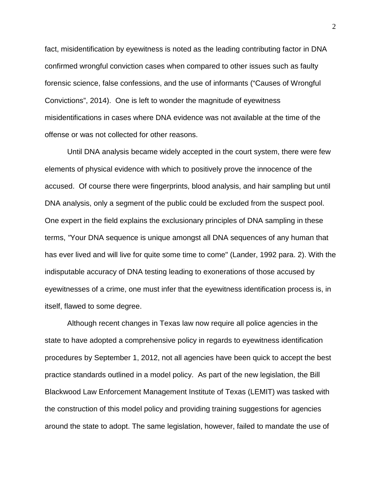fact, misidentification by eyewitness is noted as the leading contributing factor in DNA confirmed wrongful conviction cases when compared to other issues such as faulty forensic science, false confessions, and the use of informants ("Causes of Wrongful Convictions", 2014). One is left to wonder the magnitude of eyewitness misidentifications in cases where DNA evidence was not available at the time of the offense or was not collected for other reasons.

Until DNA analysis became widely accepted in the court system, there were few elements of physical evidence with which to positively prove the innocence of the accused. Of course there were fingerprints, blood analysis, and hair sampling but until DNA analysis, only a segment of the public could be excluded from the suspect pool. One expert in the field explains the exclusionary principles of DNA sampling in these terms, *"*Your DNA sequence is unique amongst all DNA sequences of any human that has ever lived and will live for quite some time to come" (Lander, 1992 para. 2). With the indisputable accuracy of DNA testing leading to exonerations of those accused by eyewitnesses of a crime, one must infer that the eyewitness identification process is, in itself, flawed to some degree.

 Although recent changes in Texas law now require all police agencies in the state to have adopted a comprehensive policy in regards to eyewitness identification procedures by September 1, 2012, not all agencies have been quick to accept the best practice standards outlined in a model policy. As part of the new legislation, the Bill Blackwood Law Enforcement Management Institute of Texas (LEMIT) was tasked with the construction of this model policy and providing training suggestions for agencies around the state to adopt. The same legislation, however, failed to mandate the use of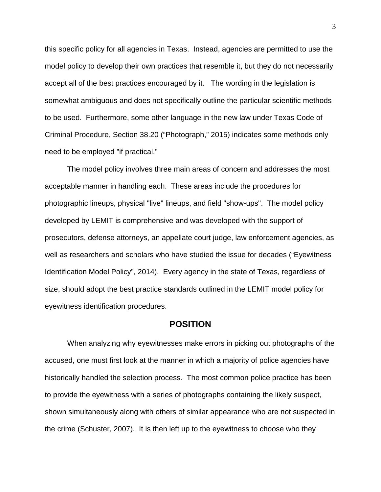this specific policy for all agencies in Texas. Instead, agencies are permitted to use the model policy to develop their own practices that resemble it, but they do not necessarily accept all of the best practices encouraged by it. The wording in the legislation is somewhat ambiguous and does not specifically outline the particular scientific methods to be used. Furthermore, some other language in the new law under Texas Code of Criminal Procedure, Section 38.20 ("Photograph," 2015) indicates some methods only need to be employed "if practical."

The model policy involves three main areas of concern and addresses the most acceptable manner in handling each. These areas include the procedures for photographic lineups, physical "live" lineups, and field "show-ups". The model policy developed by LEMIT is comprehensive and was developed with the support of prosecutors, defense attorneys, an appellate court judge, law enforcement agencies, as well as researchers and scholars who have studied the issue for decades ("Eyewitness Identification Model Policy", 2014). Every agency in the state of Texas, regardless of size, should adopt the best practice standards outlined in the LEMIT model policy for eyewitness identification procedures.

## **POSITION**

When analyzing why eyewitnesses make errors in picking out photographs of the accused, one must first look at the manner in which a majority of police agencies have historically handled the selection process. The most common police practice has been to provide the eyewitness with a series of photographs containing the likely suspect, shown simultaneously along with others of similar appearance who are not suspected in the crime (Schuster, 2007). It is then left up to the eyewitness to choose who they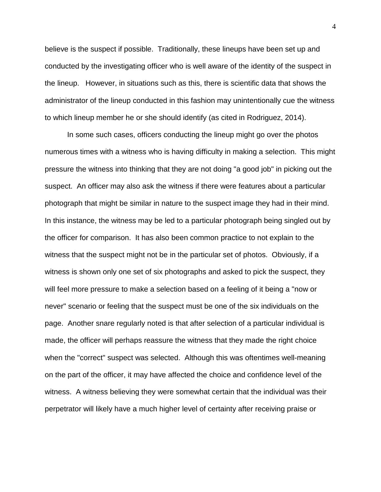believe is the suspect if possible. Traditionally, these lineups have been set up and conducted by the investigating officer who is well aware of the identity of the suspect in the lineup. However, in situations such as this, there is scientific data that shows the administrator of the lineup conducted in this fashion may unintentionally cue the witness to which lineup member he or she should identify (as cited in Rodriguez, 2014).

In some such cases, officers conducting the lineup might go over the photos numerous times with a witness who is having difficulty in making a selection. This might pressure the witness into thinking that they are not doing "a good job" in picking out the suspect. An officer may also ask the witness if there were features about a particular photograph that might be similar in nature to the suspect image they had in their mind. In this instance, the witness may be led to a particular photograph being singled out by the officer for comparison. It has also been common practice to not explain to the witness that the suspect might not be in the particular set of photos. Obviously, if a witness is shown only one set of six photographs and asked to pick the suspect, they will feel more pressure to make a selection based on a feeling of it being a "now or never" scenario or feeling that the suspect must be one of the six individuals on the page. Another snare regularly noted is that after selection of a particular individual is made, the officer will perhaps reassure the witness that they made the right choice when the "correct" suspect was selected. Although this was oftentimes well-meaning on the part of the officer, it may have affected the choice and confidence level of the witness. A witness believing they were somewhat certain that the individual was their perpetrator will likely have a much higher level of certainty after receiving praise or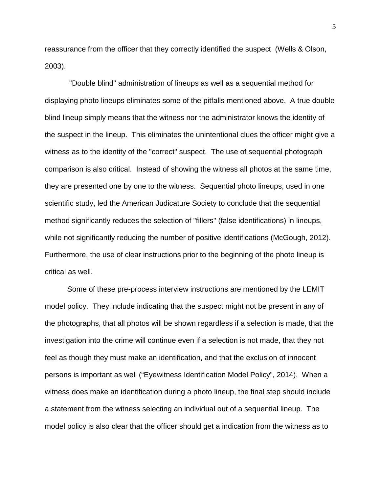reassurance from the officer that they correctly identified the suspect (Wells & Olson, 2003).

"Double blind" administration of lineups as well as a sequential method for displaying photo lineups eliminates some of the pitfalls mentioned above. A true double blind lineup simply means that the witness nor the administrator knows the identity of the suspect in the lineup. This eliminates the unintentional clues the officer might give a witness as to the identity of the "correct" suspect. The use of sequential photograph comparison is also critical. Instead of showing the witness all photos at the same time, they are presented one by one to the witness. Sequential photo lineups, used in one scientific study, led the American Judicature Society to conclude that the sequential method significantly reduces the selection of "fillers" (false identifications) in lineups, while not significantly reducing the number of positive identifications (McGough, 2012). Furthermore, the use of clear instructions prior to the beginning of the photo lineup is critical as well.

Some of these pre-process interview instructions are mentioned by the LEMIT model policy. They include indicating that the suspect might not be present in any of the photographs, that all photos will be shown regardless if a selection is made, that the investigation into the crime will continue even if a selection is not made, that they not feel as though they must make an identification, and that the exclusion of innocent persons is important as well ("Eyewitness Identification Model Policy", 2014). When a witness does make an identification during a photo lineup, the final step should include a statement from the witness selecting an individual out of a sequential lineup. The model policy is also clear that the officer should get a indication from the witness as to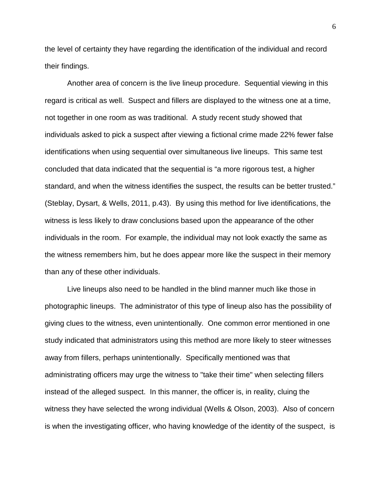the level of certainty they have regarding the identification of the individual and record their findings.

Another area of concern is the live lineup procedure. Sequential viewing in this regard is critical as well. Suspect and fillers are displayed to the witness one at a time, not together in one room as was traditional. A study recent study showed that individuals asked to pick a suspect after viewing a fictional crime made 22% fewer false identifications when using sequential over simultaneous live lineups. This same test concluded that data indicated that the sequential is "a more rigorous test, a higher standard, and when the witness identifies the suspect, the results can be better trusted." (Steblay, Dysart, & Wells, 2011, p.43). By using this method for live identifications, the witness is less likely to draw conclusions based upon the appearance of the other individuals in the room. For example, the individual may not look exactly the same as the witness remembers him, but he does appear more like the suspect in their memory than any of these other individuals.

Live lineups also need to be handled in the blind manner much like those in photographic lineups. The administrator of this type of lineup also has the possibility of giving clues to the witness, even unintentionally. One common error mentioned in one study indicated that administrators using this method are more likely to steer witnesses away from fillers, perhaps unintentionally. Specifically mentioned was that administrating officers may urge the witness to "take their time" when selecting fillers instead of the alleged suspect. In this manner, the officer is, in reality, cluing the witness they have selected the wrong individual (Wells & Olson, 2003). Also of concern is when the investigating officer, who having knowledge of the identity of the suspect, is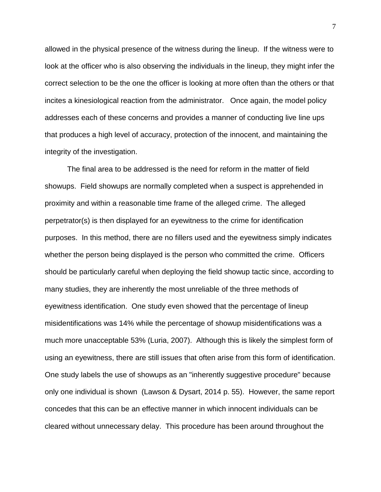allowed in the physical presence of the witness during the lineup. If the witness were to look at the officer who is also observing the individuals in the lineup, they might infer the correct selection to be the one the officer is looking at more often than the others or that incites a kinesiological reaction from the administrator. Once again, the model policy addresses each of these concerns and provides a manner of conducting live line ups that produces a high level of accuracy, protection of the innocent, and maintaining the integrity of the investigation.

The final area to be addressed is the need for reform in the matter of field showups. Field showups are normally completed when a suspect is apprehended in proximity and within a reasonable time frame of the alleged crime. The alleged perpetrator(s) is then displayed for an eyewitness to the crime for identification purposes. In this method, there are no fillers used and the eyewitness simply indicates whether the person being displayed is the person who committed the crime. Officers should be particularly careful when deploying the field showup tactic since, according to many studies, they are inherently the most unreliable of the three methods of eyewitness identification. One study even showed that the percentage of lineup misidentifications was 14% while the percentage of showup misidentifications was a much more unacceptable 53% (Luria, 2007). Although this is likely the simplest form of using an eyewitness, there are still issues that often arise from this form of identification. One study labels the use of showups as an "inherently suggestive procedure" because only one individual is shown (Lawson & Dysart, 2014 p. 55). However, the same report concedes that this can be an effective manner in which innocent individuals can be cleared without unnecessary delay. This procedure has been around throughout the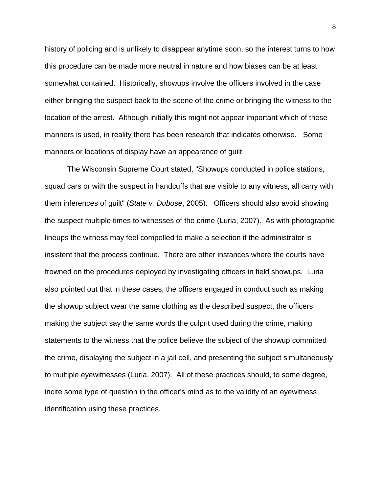history of policing and is unlikely to disappear anytime soon, so the interest turns to how this procedure can be made more neutral in nature and how biases can be at least somewhat contained. Historically, showups involve the officers involved in the case either bringing the suspect back to the scene of the crime or bringing the witness to the location of the arrest. Although initially this might not appear important which of these manners is used, in reality there has been research that indicates otherwise. Some manners or locations of display have an appearance of guilt.

The Wisconsin Supreme Court stated, "Showups conducted in police stations, squad cars or with the suspect in handcuffs that are visible to any witness, all carry with them inferences of guilt" (*State v. Dubose*, 2005). Officers should also avoid showing the suspect multiple times to witnesses of the crime (Luria, 2007). As with photographic lineups the witness may feel compelled to make a selection if the administrator is insistent that the process continue. There are other instances where the courts have frowned on the procedures deployed by investigating officers in field showups. Luria also pointed out that in these cases, the officers engaged in conduct such as making the showup subject wear the same clothing as the described suspect, the officers making the subject say the same words the culprit used during the crime, making statements to the witness that the police believe the subject of the showup committed the crime, displaying the subject in a jail cell, and presenting the subject simultaneously to multiple eyewitnesses (Luria, 2007). All of these practices should, to some degree, incite some type of question in the officer's mind as to the validity of an eyewitness identification using these practices.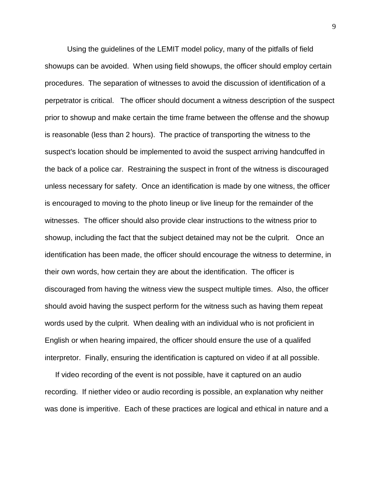Using the guidelines of the LEMIT model policy, many of the pitfalls of field showups can be avoided. When using field showups, the officer should employ certain procedures. The separation of witnesses to avoid the discussion of identification of a perpetrator is critical. The officer should document a witness description of the suspect prior to showup and make certain the time frame between the offense and the showup is reasonable (less than 2 hours). The practice of transporting the witness to the suspect's location should be implemented to avoid the suspect arriving handcuffed in the back of a police car. Restraining the suspect in front of the witness is discouraged unless necessary for safety. Once an identification is made by one witness, the officer is encouraged to moving to the photo lineup or live lineup for the remainder of the witnesses. The officer should also provide clear instructions to the witness prior to showup, including the fact that the subject detained may not be the culprit. Once an identification has been made, the officer should encourage the witness to determine, in their own words, how certain they are about the identification. The officer is discouraged from having the witness view the suspect multiple times. Also, the officer should avoid having the suspect perform for the witness such as having them repeat words used by the culprit. When dealing with an individual who is not proficient in English or when hearing impaired, the officer should ensure the use of a qualifed interpretor. Finally, ensuring the identification is captured on video if at all possible.

 If video recording of the event is not possible, have it captured on an audio recording. If niether video or audio recording is possible, an explanation why neither was done is imperitive. Each of these practices are logical and ethical in nature and a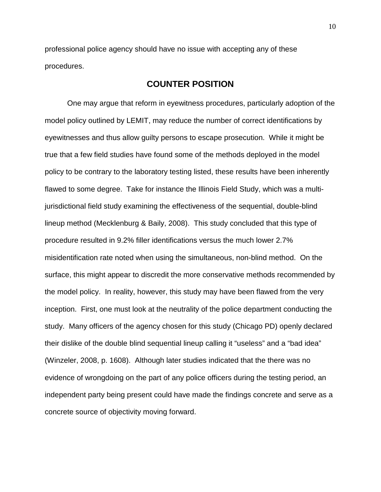professional police agency should have no issue with accepting any of these procedures.

# **COUNTER POSITION**

One may argue that reform in eyewitness procedures, particularly adoption of the model policy outlined by LEMIT, may reduce the number of correct identifications by eyewitnesses and thus allow guilty persons to escape prosecution. While it might be true that a few field studies have found some of the methods deployed in the model policy to be contrary to the laboratory testing listed, these results have been inherently flawed to some degree. Take for instance the Illinois Field Study, which was a multijurisdictional field study examining the effectiveness of the sequential, double-blind lineup method (Mecklenburg & Baily, 2008). This study concluded that this type of procedure resulted in 9.2% filler identifications versus the much lower 2.7% misidentification rate noted when using the simultaneous, non-blind method. On the surface, this might appear to discredit the more conservative methods recommended by the model policy. In reality, however, this study may have been flawed from the very inception. First, one must look at the neutrality of the police department conducting the study. Many officers of the agency chosen for this study (Chicago PD) openly declared their dislike of the double blind sequential lineup calling it "useless" and a "bad idea" (Winzeler, 2008, p. 1608). Although later studies indicated that the there was no evidence of wrongdoing on the part of any police officers during the testing period, an independent party being present could have made the findings concrete and serve as a concrete source of objectivity moving forward.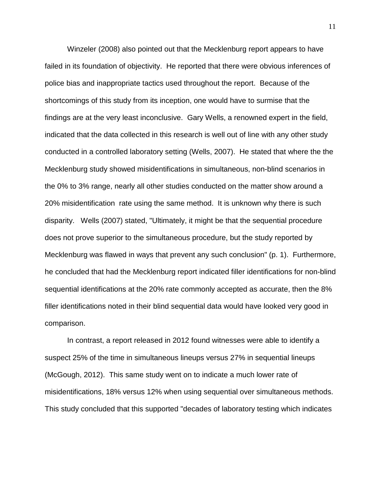Winzeler (2008) also pointed out that the Mecklenburg report appears to have failed in its foundation of objectivity. He reported that there were obvious inferences of police bias and inappropriate tactics used throughout the report. Because of the shortcomings of this study from its inception, one would have to surmise that the findings are at the very least inconclusive. Gary Wells, a renowned expert in the field, indicated that the data collected in this research is well out of line with any other study conducted in a controlled laboratory setting (Wells, 2007). He stated that where the the Mecklenburg study showed misidentifications in simultaneous, non-blind scenarios in the 0% to 3% range, nearly all other studies conducted on the matter show around a 20% misidentification rate using the same method. It is unknown why there is such disparity. Wells (2007) stated, "Ultimately, it might be that the sequential procedure does not prove superior to the simultaneous procedure, but the study reported by Mecklenburg was flawed in ways that prevent any such conclusion" (p. 1). Furthermore, he concluded that had the Mecklenburg report indicated filler identifications for non-blind sequential identifications at the 20% rate commonly accepted as accurate, then the 8% filler identifications noted in their blind sequential data would have looked very good in comparison.

In contrast, a report released in 2012 found witnesses were able to identify a suspect 25% of the time in simultaneous lineups versus 27% in sequential lineups (McGough, 2012). This same study went on to indicate a much lower rate of misidentifications, 18% versus 12% when using sequential over simultaneous methods. This study concluded that this supported "decades of laboratory testing which indicates

11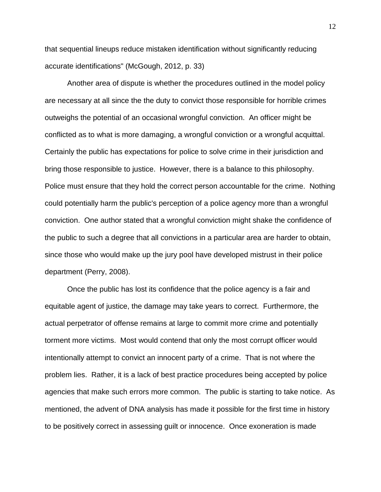that sequential lineups reduce mistaken identification without significantly reducing accurate identifications" (McGough, 2012, p. 33)

Another area of dispute is whether the procedures outlined in the model policy are necessary at all since the the duty to convict those responsible for horrible crimes outweighs the potential of an occasional wrongful conviction. An officer might be conflicted as to what is more damaging, a wrongful conviction or a wrongful acquittal. Certainly the public has expectations for police to solve crime in their jurisdiction and bring those responsible to justice. However, there is a balance to this philosophy. Police must ensure that they hold the correct person accountable for the crime. Nothing could potentially harm the public's perception of a police agency more than a wrongful conviction. One author stated that a wrongful conviction might shake the confidence of the public to such a degree that all convictions in a particular area are harder to obtain, since those who would make up the jury pool have developed mistrust in their police department (Perry, 2008).

Once the public has lost its confidence that the police agency is a fair and equitable agent of justice, the damage may take years to correct. Furthermore, the actual perpetrator of offense remains at large to commit more crime and potentially torment more victims. Most would contend that only the most corrupt officer would intentionally attempt to convict an innocent party of a crime. That is not where the problem lies. Rather, it is a lack of best practice procedures being accepted by police agencies that make such errors more common. The public is starting to take notice. As mentioned, the advent of DNA analysis has made it possible for the first time in history to be positively correct in assessing guilt or innocence. Once exoneration is made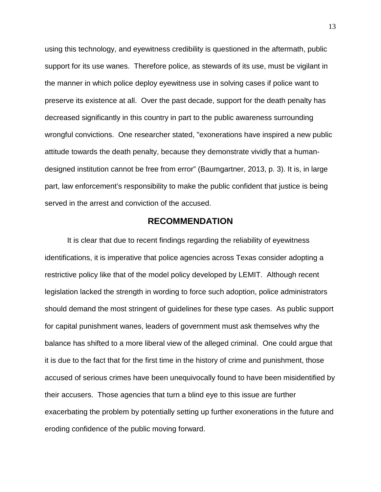using this technology, and eyewitness credibility is questioned in the aftermath, public support for its use wanes. Therefore police, as stewards of its use, must be vigilant in the manner in which police deploy eyewitness use in solving cases if police want to preserve its existence at all. Over the past decade, support for the death penalty has decreased significantly in this country in part to the public awareness surrounding wrongful convictions. One researcher stated, "exonerations have inspired a new public attitude towards the death penalty, because they demonstrate vividly that a humandesigned institution cannot be free from error" (Baumgartner, 2013, p. 3). It is, in large part, law enforcement's responsibility to make the public confident that justice is being served in the arrest and conviction of the accused.

## **RECOMMENDATION**

It is clear that due to recent findings regarding the reliability of eyewitness identifications, it is imperative that police agencies across Texas consider adopting a restrictive policy like that of the model policy developed by LEMIT. Although recent legislation lacked the strength in wording to force such adoption, police administrators should demand the most stringent of guidelines for these type cases. As public support for capital punishment wanes, leaders of government must ask themselves why the balance has shifted to a more liberal view of the alleged criminal. One could argue that it is due to the fact that for the first time in the history of crime and punishment, those accused of serious crimes have been unequivocally found to have been misidentified by their accusers. Those agencies that turn a blind eye to this issue are further exacerbating the problem by potentially setting up further exonerations in the future and eroding confidence of the public moving forward.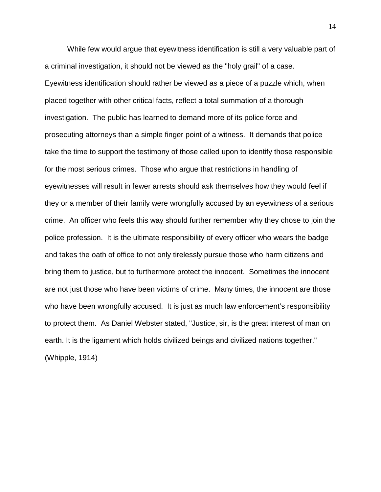While few would argue that eyewitness identification is still a very valuable part of a criminal investigation, it should not be viewed as the "holy grail" of a case. Eyewitness identification should rather be viewed as a piece of a puzzle which, when placed together with other critical facts, reflect a total summation of a thorough investigation. The public has learned to demand more of its police force and prosecuting attorneys than a simple finger point of a witness. It demands that police take the time to support the testimony of those called upon to identify those responsible for the most serious crimes. Those who argue that restrictions in handling of eyewitnesses will result in fewer arrests should ask themselves how they would feel if they or a member of their family were wrongfully accused by an eyewitness of a serious crime. An officer who feels this way should further remember why they chose to join the police profession. It is the ultimate responsibility of every officer who wears the badge and takes the oath of office to not only tirelessly pursue those who harm citizens and bring them to justice, but to furthermore protect the innocent. Sometimes the innocent are not just those who have been victims of crime. Many times, the innocent are those who have been wrongfully accused. It is just as much law enforcement's responsibility to protect them. As Daniel Webster stated, "Justice, sir, is the great interest of man on earth. It is the ligament which holds civilized beings and civilized nations together." (Whipple, 1914)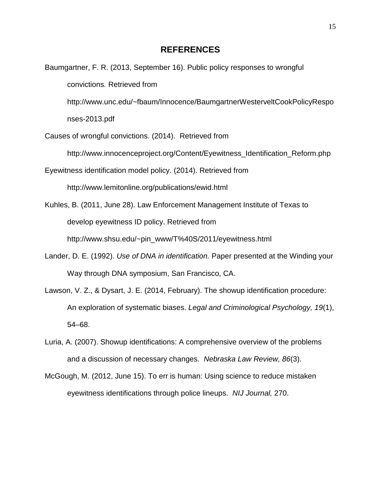Baumgartner, F. R. (2013, September 16). Public policy responses to wrongful convictions*.* Retrieved from http://www.unc.edu/~fbaum/Innocence/BaumgartnerWesterveltCookPolicyRespo nses-2013.pdf Causes of wrongful convictions. (2014). Retrieved from http://www.innocenceproject.org/Content/Eyewitness\_Identification\_Reform.php Eyewitness identification model policy. (2014). Retrieved from http://www.lemitonline.org/publications/ewid.html Kuhles, B. (2011, June 28). Law Enforcement Management Institute of Texas to develop eyewitness ID policy. Retrieved from

http://www.shsu.edu/~pin\_www/T%40S/2011/eyewitness.html

- Lander, D. E. (1992). *Use of DNA in identification.* Paper presented at the Winding your Way through DNA symposium, San Francisco, CA.
- Lawson, V. Z., & Dysart, J. E. (2014, February). The showup identification procedure: An exploration of systematic biases. *Legal and Criminological Psychology, 19*(1), 54–68.
- Luria, A. (2007). Showup identifications: A comprehensive overview of the problems and a discussion of necessary changes. *Nebraska Law Review, 86*(3).
- McGough, M. (2012, June 15). To err is human: Using science to reduce mistaken eyewitness identifications through police lineups. *NIJ Journal,* 270.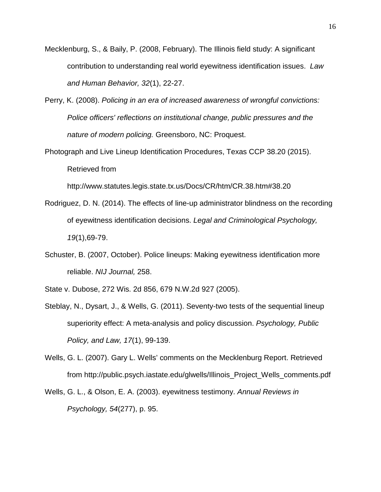- Mecklenburg, S., & Baily, P. (2008, February). The Illinois field study: A significant contribution to understanding real world eyewitness identification issues. *Law and Human Behavior, 32*(1), 22-27.
- Perry, K. (2008). *Policing in an era of increased awareness of wrongful convictions: Police officers' reflections on institutional change, public pressures and the nature of modern policing.* Greensboro, NC: Proquest.
- Photograph and Live Lineup Identification Procedures, Texas CCP 38.20 (2015). Retrieved from

http://www.statutes.legis.state.tx.us/Docs/CR/htm/CR.38.htm#38.20

- Rodriguez, D. N. (2014). The effects of line-up administrator blindness on the recording of eyewitness identification decisions. *Legal and Criminological Psychology, 19*(1),69-79.
- Schuster, B. (2007, October). Police lineups: Making eyewitness identification more reliable. *NIJ Journal,* 258.
- State v. Dubose, 272 Wis. 2d 856, 679 N.W.2d 927 (2005).
- Steblay, N., Dysart, J., & Wells, G. (2011). Seventy-two tests of the sequential lineup superiority effect: A meta-analysis and policy discussion. *Psychology, Public Policy, and Law, 17*(1), 99-139.
- Wells, G. L. (2007). Gary L. Wells' comments on the Mecklenburg Report. Retrieved from http://public.psych.iastate.edu/glwells/Illinois\_Project\_Wells\_comments.pdf
- Wells, G. L., & Olson, E. A. (2003). eyewitness testimony. *Annual Reviews in Psychology, 54*(277), p. 95.